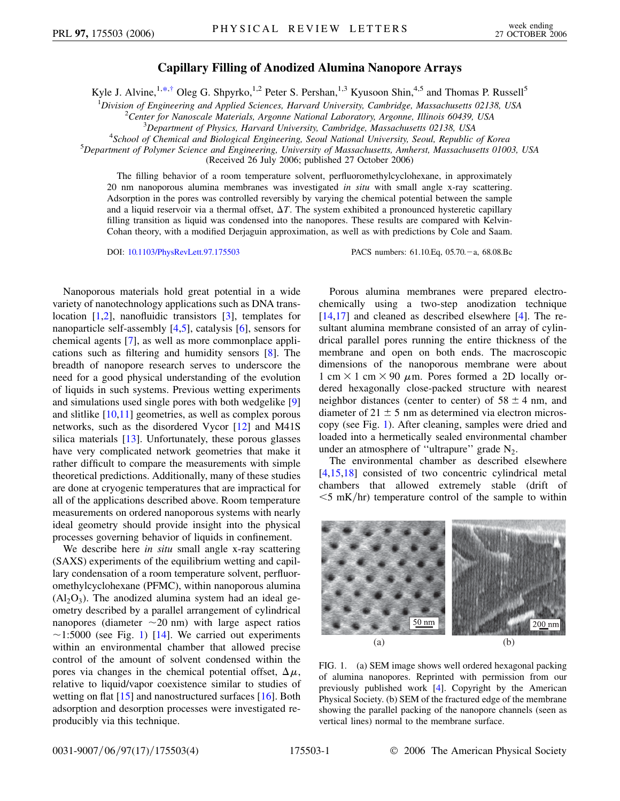## **Capillary Filling of Anodized Alumina Nanopore Arrays**

<span id="page-0-1"></span>Kyle J. Alvine,<sup>1[,\\*,](#page-3-0)[†](#page-3-1)</sup> Oleg G. Shpyrko,<sup>1,2</sup> Peter S. Pershan,<sup>1,3</sup> Kyusoon Shin,<sup>4,5</sup> and Thomas P. Russell<sup>5</sup>

<sup>1</sup> Division of Engineering and Applied Sciences, Harvard University, Cambridge, Massachusetts 02138, USA<br><sup>2</sup> Center for Nanoscale Materials, Argonne National Laboratory, Argonne, Illinois 60430, USA

<sup>2</sup> Center for Nanoscale Materials, Argonne National Laboratory, Argonne, Illinois 60439, USA

<sup>3</sup>Department of Physics, Harvard University, Cambridge, Massachusetts 02138, USA

*School of Chemical and Biological Engineering, Seoul National University, Seoul, Republic of Korea* <sup>5</sup>

*Department of Polymer Science and Engineering, University of Massachusetts, Amherst, Massachusetts 01003, USA*

(Received 26 July 2006; published 27 October 2006)

The filling behavior of a room temperature solvent, perfluoromethylcyclohexane, in approximately 20 nm nanoporous alumina membranes was investigated *in situ* with small angle x-ray scattering. Adsorption in the pores was controlled reversibly by varying the chemical potential between the sample and a liquid reservoir via a thermal offset,  $\Delta T$ . The system exhibited a pronounced hysteretic capillary filling transition as liquid was condensed into the nanopores. These results are compared with Kelvin-Cohan theory, with a modified Derjaguin approximation, as well as with predictions by Cole and Saam.

DOI: [10.1103/PhysRevLett.97.175503](http://dx.doi.org/10.1103/PhysRevLett.97.175503) PACS numbers: 61.10.Eq, 05.70. - a, 68.08.Bc

Nanoporous materials hold great potential in a wide variety of nanotechnology applications such as DNA translocation [[1](#page-3-2)[,2\]](#page-3-3), nanofluidic transistors [[3](#page-3-4)], templates for nanoparticle self-assembly [\[4,](#page-3-5)[5](#page-3-6)], catalysis [\[6\]](#page-3-7), sensors for chemical agents [\[7\]](#page-3-8), as well as more commonplace applications such as filtering and humidity sensors [\[8\]](#page-3-9). The breadth of nanopore research serves to underscore the need for a good physical understanding of the evolution of liquids in such systems. Previous wetting experiments and simulations used single pores with both wedgelike [\[9\]](#page-3-10) and slitlike  $[10,11]$  $[10,11]$  $[10,11]$  $[10,11]$  $[10,11]$  geometries, as well as complex porous networks, such as the disordered Vycor [[12](#page-3-13)] and M41S silica materials [\[13\]](#page-3-14). Unfortunately, these porous glasses have very complicated network geometries that make it rather difficult to compare the measurements with simple theoretical predictions. Additionally, many of these studies are done at cryogenic temperatures that are impractical for all of the applications described above. Room temperature measurements on ordered nanoporous systems with nearly ideal geometry should provide insight into the physical processes governing behavior of liquids in confinement.

We describe here *in situ* small angle x-ray scattering (SAXS) experiments of the equilibrium wetting and capillary condensation of a room temperature solvent, perfluoromethylcyclohexane (PFMC), within nanoporous alumina  $(A<sub>12</sub>O<sub>3</sub>)$ . The anodized alumina system had an ideal geometry described by a parallel arrangement of cylindrical nanopores (diameter  $\sim$  20 nm) with large aspect ratios  $\sim$ [1](#page-0-0):5000 (see Fig. 1) [\[14\]](#page-3-15). We carried out experiments within an environmental chamber that allowed precise control of the amount of solvent condensed within the pores via changes in the chemical potential offset,  $\Delta \mu$ , relative to liquid/vapor coexistence similar to studies of wetting on flat  $[15]$  and nanostructured surfaces  $[16]$  $[16]$  $[16]$ . Both adsorption and desorption processes were investigated reproducibly via this technique.

Porous alumina membranes were prepared electrochemically using a two-step anodization technique [\[14](#page-3-15)[,17\]](#page-3-18) and cleaned as described elsewhere [\[4](#page-3-5)]. The resultant alumina membrane consisted of an array of cylindrical parallel pores running the entire thickness of the membrane and open on both ends. The macroscopic dimensions of the nanoporous membrane were about 1 cm  $\times$  1 cm  $\times$  90  $\mu$ m. Pores formed a 2D locally ordered hexagonally close-packed structure with nearest neighbor distances (center to center) of  $58 \pm 4$  nm, and diameter of  $21 \pm 5$  nm as determined via electron microscopy (see Fig. [1\)](#page-0-0). After cleaning, samples were dried and loaded into a hermetically sealed environmental chamber under an atmosphere of "ultrapure" grade  $N_2$ .

The environmental chamber as described elsewhere [\[4,](#page-3-5)[15](#page-3-16)[,18\]](#page-3-19) consisted of two concentric cylindrical metal chambers that allowed extremely stable (drift of  $<$ 5 mK/hr) temperature control of the sample to within

<span id="page-0-0"></span>

FIG. 1. (a) SEM image shows well ordered hexagonal packing of alumina nanopores. Reprinted with permission from our previously published work [[4](#page-3-5)]. Copyright by the American Physical Society. (b) SEM of the fractured edge of the membrane showing the parallel packing of the nanopore channels (seen as vertical lines) normal to the membrane surface.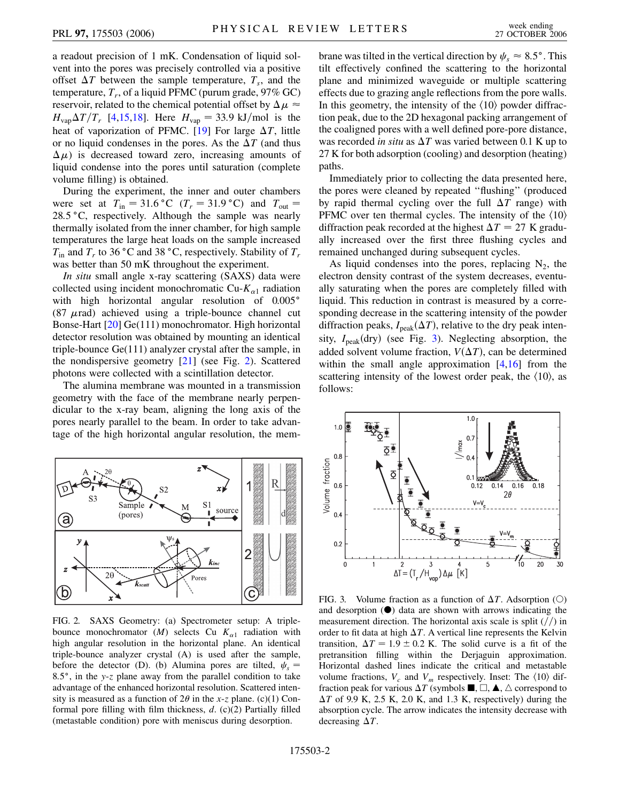a readout precision of 1 mK. Condensation of liquid solvent into the pores was precisely controlled via a positive offset  $\Delta T$  between the sample temperature,  $T_s$ , and the temperature,  $T_r$ , of a liquid PFMC (purum grade,  $97\%$  GC) reservoir, related to the chemical potential offset by  $\Delta \mu \approx$  $H_{vap} \Delta T/T_r$  [[4](#page-3-5),[15](#page-3-16),[18](#page-3-19)]. Here  $H_{vap} = 33.9 \text{ kJ/mol}$  is the heat of vaporization of PFMC. [\[19\]](#page-3-20) For large  $\Delta T$ , little or no liquid condenses in the pores. As the  $\Delta T$  (and thus  $(\Delta \mu)$  is decreased toward zero, increasing amounts of liquid condense into the pores until saturation (complete volume filling) is obtained.

During the experiment, the inner and outer chambers were set at  $T_{\text{in}} = 31.6 \degree \text{C}$  ( $T_r = 31.9 \degree \text{C}$ ) and  $T_{\text{out}} =$ 28.5 °C, respectively. Although the sample was nearly thermally isolated from the inner chamber, for high sample temperatures the large heat loads on the sample increased  $T_{\text{in}}$  and  $T_r$  to 36 °C and 38 °C, respectively. Stability of  $T_r$ was better than 50 mK throughout the experiment.

*In situ* small angle x-ray scattering (SAXS) data were collected using incident monochromatic Cu-*K-*<sup>1</sup> radiation with high horizontal angular resolution of 0.005° (87  $\mu$ rad) achieved using a triple-bounce channel cut Bonse-Hart [\[20\]](#page-3-21) Ge(111) monochromator. High horizontal detector resolution was obtained by mounting an identical triple-bounce Ge(111) analyzer crystal after the sample, in the nondispersive geometry [\[21](#page-3-22)] (see Fig. [2](#page-1-0)). Scattered photons were collected with a scintillation detector.

The alumina membrane was mounted in a transmission geometry with the face of the membrane nearly perpendicular to the x-ray beam, aligning the long axis of the pores nearly parallel to the beam. In order to take advantage of the high horizontal angular resolution, the mem-

<span id="page-1-0"></span>

<span id="page-1-2"></span>FIG. 2. SAXS Geometry: (a) Spectrometer setup: A triplebounce monochromator  $(M)$  selects Cu  $K_{\alpha 1}$  radiation with high angular resolution in the horizontal plane. An identical triple-bounce analyzer crystal (A) is used after the sample, before the detector (D). (b) Alumina pores are tilted,  $\psi_s$ 8*:*5, in the *y*-*z* plane away from the parallel condition to take advantage of the enhanced horizontal resolution. Scattered intensity is measured as a function of  $2\theta$  in the *x*-*z* plane. (c)(1) Conformal pore filling with film thickness, *d*. (c)(2) Partially filled (metastable condition) pore with meniscus during desorption.

brane was tilted in the vertical direction by  $\psi_s \approx 8.5^\circ$ . This tilt effectively confined the scattering to the horizontal plane and minimized waveguide or multiple scattering effects due to grazing angle reflections from the pore walls. In this geometry, the intensity of the  $\langle 10 \rangle$  powder diffraction peak, due to the 2D hexagonal packing arrangement of the coaligned pores with a well defined pore-pore distance, was recorded *in situ* as  $\Delta T$  was varied between 0.1 K up to 27 K for both adsorption (cooling) and desorption (heating) paths.

Immediately prior to collecting the data presented here, the pores were cleaned by repeated ''flushing'' (produced by rapid thermal cycling over the full  $\Delta T$  range) with PFMC over ten thermal cycles. The intensity of the  $\langle 10 \rangle$ diffraction peak recorded at the highest  $\Delta T = 27$  K gradually increased over the first three flushing cycles and remained unchanged during subsequent cycles.

As liquid condenses into the pores, replacing  $N_2$ , the electron density contrast of the system decreases, eventually saturating when the pores are completely filled with liquid. This reduction in contrast is measured by a corresponding decrease in the scattering intensity of the powder diffraction peaks,  $I_{\text{peak}}(\Delta T)$ , relative to the dry peak intensity,  $I_{\text{peak}}(\text{dry})$  (see Fig. [3\)](#page-1-1). Neglecting absorption, the added solvent volume fraction,  $V(\Delta T)$ , can be determined within the small angle approximation  $[4,16]$  $[4,16]$  $[4,16]$  from the scattering intensity of the lowest order peak, the  $\langle 10 \rangle$ , as follows:

<span id="page-1-1"></span>

FIG. 3. Volume fraction as a function of  $\Delta T$ . Adsorption (O) and desorption  $(\bullet)$  data are shown with arrows indicating the measurement direction. The horizontal axis scale is split  $\frac{1}{\sqrt{2}}$  in order to fit data at high  $\Delta T$ . A vertical line represents the Kelvin transition,  $\Delta T = 1.9 \pm 0.2$  K. The solid curve is a fit of the pretransition filling within the Derjaguin approximation. Horizontal dashed lines indicate the critical and metastable volume fractions,  $V_c$  and  $V_m$  respectively. Inset: The  $\langle 10 \rangle$  diffraction peak for various  $\Delta T$  (symbols  $\blacksquare$ ,  $\Box$ ,  $\blacktriangle$ ,  $\triangle$  correspond to  $\Delta T$  of 9.9 K, 2.5 K, 2.0 K, and 1.3 K, respectively) during the absorption cycle. The arrow indicates the intensity decrease with decreasing  $\Delta T$ .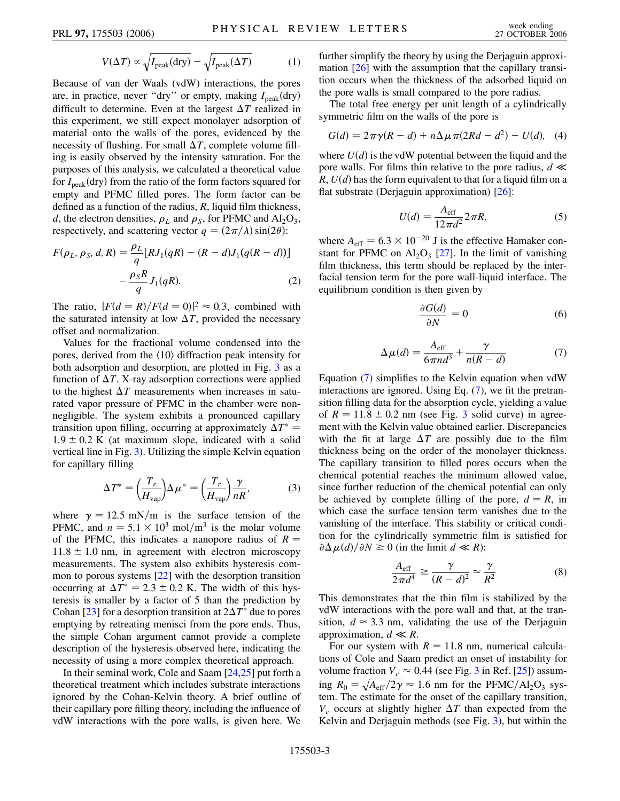$$
V(\Delta T) \propto \sqrt{I_{\text{peak}}(\text{dry})} - \sqrt{I_{\text{peak}}(\Delta T)} \tag{1}
$$

Because of van der Waals (vdW) interactions, the pores are, in practice, never "dry" or empty, making  $I_{\text{peak}}(\text{dry})$ difficult to determine. Even at the largest  $\Delta T$  realized in this experiment, we still expect monolayer adsorption of material onto the walls of the pores, evidenced by the necessity of flushing. For small  $\Delta T$ , complete volume filling is easily observed by the intensity saturation. For the purposes of this analysis, we calculated a theoretical value for  $I_{\text{peak}}(\text{dry})$  from the ratio of the form factors squared for empty and PFMC filled pores. The form factor can be defined as a function of the radius, *R*, liquid film thickness, *d*, the electron densities,  $\rho_L$  and  $\rho_S$ , for PFMC and Al<sub>2</sub>O<sub>3</sub>, respectively, and scattering vector  $q = (2\pi/\lambda)\sin(2\theta)$ :

$$
F(\rho_L, \rho_S, d, R) = \frac{\rho_L}{q} [R J_1(qR) - (R - d) J_1(q(R - d))]
$$

$$
- \frac{\rho_S R}{q} J_1(qR). \tag{2}
$$

The ratio,  $|F(d = R)/F(d = 0)|^2 \approx 0.3$ , combined with the saturated intensity at low  $\Delta T$ , provided the necessary offset and normalization.

Values for the fractional volume condensed into the pores, derived from the  $\langle 10 \rangle$  diffraction peak intensity for both adsorption and desorption, are plotted in Fig. [3](#page-1-1) as a function of  $\Delta T$ . X-ray adsorption corrections were applied to the highest  $\Delta T$  measurements when increases in saturated vapor pressure of PFMC in the chamber were nonnegligible. The system exhibits a pronounced capillary transition upon filling, occurring at approximately  $\Delta T^* =$  $1.9 \pm 0.2$  K (at maximum slope, indicated with a solid vertical line in Fig. [3\)](#page-1-1). Utilizing the simple Kelvin equation for capillary filling

$$
\Delta T^* = \left(\frac{T_r}{H_{\text{vap}}}\right) \Delta \mu^* = \left(\frac{T_r}{H_{\text{vap}}}\right) \frac{\gamma}{nR},\tag{3}
$$

where  $\gamma = 12.5$  mN/m is the surface tension of the PFMC, and  $n = 5.1 \times 10^3$  mol/m<sup>3</sup> is the molar volume of the PFMC, this indicates a nanopore radius of  $R =$  $11.8 \pm 1.0$  nm, in agreement with electron microscopy measurements. The system also exhibits hysteresis common to porous systems [[22](#page-3-23)] with the desorption transition occurring at  $\Delta T^* = 2.3 \pm 0.2$  K. The width of this hysteresis is smaller by a factor of 5 than the prediction by Cohan [\[23](#page-3-24)] for a desorption transition at  $2\Delta T^*$  due to pores emptying by retreating menisci from the pore ends. Thus, the simple Cohan argument cannot provide a complete description of the hysteresis observed here, indicating the necessity of using a more complex theoretical approach.

In their seminal work, Cole and Saam [[24](#page-3-25),[25](#page-3-26)] put forth a theoretical treatment which includes substrate interactions ignored by the Cohan-Kelvin theory. A brief outline of their capillary pore filling theory, including the influence of vdW interactions with the pore walls, is given here. We further simplify the theory by using the Derjaguin approximation [\[26](#page-3-27)] with the assumption that the capillary transition occurs when the thickness of the adsorbed liquid on the pore walls is small compared to the pore radius.

The total free energy per unit length of a cylindrically symmetric film on the walls of the pore is

$$
G(d) = 2\pi\gamma(R - d) + n\Delta\mu\pi(2Rd - d^2) + U(d), \quad (4)
$$

where  $U(d)$  is the vdW potential between the liquid and the pore walls. For films thin relative to the pore radius,  $d \ll$  $R$ ,  $U(d)$  has the form equivalent to that for a liquid film on a flat substrate (Derjaguin approximation) [\[26\]](#page-3-27):

$$
U(d) = \frac{A_{\text{eff}}}{12\pi d^2} 2\pi R,\tag{5}
$$

where  $A_{\text{eff}} = 6.3 \times 10^{-20}$  J is the effective Hamaker constant for PFMC on  $Al_2O_3$  [[27](#page-3-28)]. In the limit of vanishing film thickness, this term should be replaced by the interfacial tension term for the pore wall-liquid interface. The equilibrium condition is then given by

$$
\frac{\partial G(d)}{\partial N} = 0 \tag{6}
$$

$$
\Delta \mu(d) = \frac{A_{\text{eff}}}{6\pi n d^3} + \frac{\gamma}{n(R-d)}\tag{7}
$$

<span id="page-2-0"></span>Equation ([7\)](#page-2-0) simplifies to the Kelvin equation when vdW interactions are ignored. Using Eq. [\(7\)](#page-2-0), we fit the pretransition filling data for the absorption cycle, yielding a value of  $R = 11.8 \pm 0.2$  nm (see Fig. [3](#page-1-1) solid curve) in agreement with the Kelvin value obtained earlier. Discrepancies with the fit at large  $\Delta T$  are possibly due to the film thickness being on the order of the monolayer thickness. The capillary transition to filled pores occurs when the chemical potential reaches the minimum allowed value, since further reduction of the chemical potential can only be achieved by complete filling of the pore,  $d = R$ , in which case the surface tension term vanishes due to the vanishing of the interface. This stability or critical condition for the cylindrically symmetric film is satisfied for  $\partial \Delta \mu(d)/\partial N \geq 0$  (in the limit  $d \ll R$ ):

$$
\frac{A_{\text{eff}}}{2\pi d^4} \ge \frac{\gamma}{(R-d)^2} \approx \frac{\gamma}{R^2}
$$
 (8)

This demonstrates that the thin film is stabilized by the vdW interactions with the pore wall and that, at the transition,  $d \approx 3.3$  nm, validating the use of the Derjaguin approximation,  $d \ll R$ .

For our system with  $R = 11.8$  nm, numerical calculations of Cole and Saam predict an onset of instability for volume fraction  $V_c \approx 0.44$  (see Fig. [3](#page-1-1) in Ref. [[25\]](#page-3-26)) assuming  $R_0 = \sqrt{A_{\text{eff}}/2\gamma} \approx 1.6 \text{ nm}$  for the PFMC/Al<sub>2</sub>O<sub>3</sub> system. The estimate for the onset of the capillary transition,  $V_c$  occurs at slightly higher  $\Delta T$  than expected from the Kelvin and Derjaguin methods (see Fig. [3](#page-1-1)), but within the